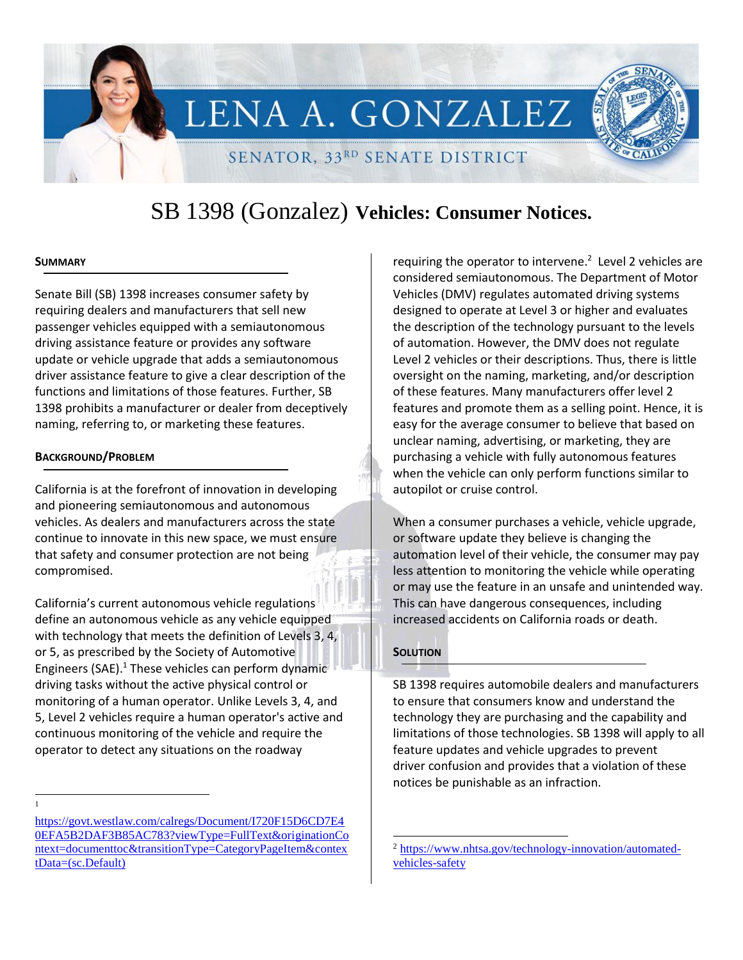# LENA A. GONZALEZ SENATOR, 33RD SENATE DISTRICT

# SB 1398 (Gonzalez) **Vehicles: Consumer Notices.**

### **SUMMARY**

Senate Bill (SB) 1398 increases consumer safety by requiring dealers and manufacturers that sell new passenger vehicles equipped with a semiautonomous driving assistance feature or provides any software update or vehicle upgrade that adds a semiautonomous driver assistance feature to give a clear description of the functions and limitations of those features. Further, SB 1398 prohibits a manufacturer or dealer from deceptively naming, referring to, or marketing these features.

#### **BACKGROUND/PROBLEM**

California is at the forefront of innovation in developing and pioneering semiautonomous and autonomous vehicles. As dealers and manufacturers across the state continue to innovate in this new space, we must ensure that safety and consumer protection are not being compromised.

California's current autonomous vehicle regulations define an autonomous vehicle as any vehicle equipped with technology that meets the definition of Levels 3, 4, or 5, as prescribed by the Society of Automotive Engineers (SAE). $<sup>1</sup>$  These vehicles can perform dynamic</sup> driving tasks without the active physical control or monitoring of a human operator. Unlike Levels 3, 4, and 5, Level 2 vehicles require a human operator's active and continuous monitoring of the vehicle and require the operator to detect any situations on the roadway

l 1

requiring the operator to intervene. $^2$  Level 2 vehicles are considered semiautonomous. The Department of Motor Vehicles (DMV) regulates automated driving systems designed to operate at Level 3 or higher and evaluates the description of the technology pursuant to the levels of automation. However, the DMV does not regulate Level 2 vehicles or their descriptions. Thus, there is little oversight on the naming, marketing, and/or description of these features. Many manufacturers offer level 2 features and promote them as a selling point. Hence, it is easy for the average consumer to believe that based on unclear naming, advertising, or marketing, they are purchasing a vehicle with fully autonomous features when the vehicle can only perform functions similar to autopilot or cruise control.

When a consumer purchases a vehicle, vehicle upgrade, or software update they believe is changing the automation level of their vehicle, the consumer may pay less attention to monitoring the vehicle while operating or may use the feature in an unsafe and unintended way. This can have dangerous consequences, including increased accidents on California roads or death.

# **SOLUTION**

 $\overline{a}$ 

SB 1398 requires automobile dealers and manufacturers to ensure that consumers know and understand the technology they are purchasing and the capability and limitations of those technologies. SB 1398 will apply to all feature updates and vehicle upgrades to prevent driver confusion and provides that a violation of these notices be punishable as an infraction.

[https://govt.westlaw.com/calregs/Document/I720F15D6CD7E4](https://govt.westlaw.com/calregs/Document/I720F15D6CD7E40EFA5B2DAF3B85AC783?viewType=FullText&originationContext=documenttoc&transitionType=CategoryPageItem&contextData=(sc.Default)) [0EFA5B2DAF3B85AC783?viewType=FullText&originationCo](https://govt.westlaw.com/calregs/Document/I720F15D6CD7E40EFA5B2DAF3B85AC783?viewType=FullText&originationContext=documenttoc&transitionType=CategoryPageItem&contextData=(sc.Default)) [ntext=documenttoc&transitionType=CategoryPageItem&contex](https://govt.westlaw.com/calregs/Document/I720F15D6CD7E40EFA5B2DAF3B85AC783?viewType=FullText&originationContext=documenttoc&transitionType=CategoryPageItem&contextData=(sc.Default)) [tData=\(sc.Default\)](https://govt.westlaw.com/calregs/Document/I720F15D6CD7E40EFA5B2DAF3B85AC783?viewType=FullText&originationContext=documenttoc&transitionType=CategoryPageItem&contextData=(sc.Default))

<sup>2</sup> [https://www.nhtsa.gov/technology-innovation/automated](https://www.nhtsa.gov/technology-innovation/automated-vehicles-safety)[vehicles-safety](https://www.nhtsa.gov/technology-innovation/automated-vehicles-safety)